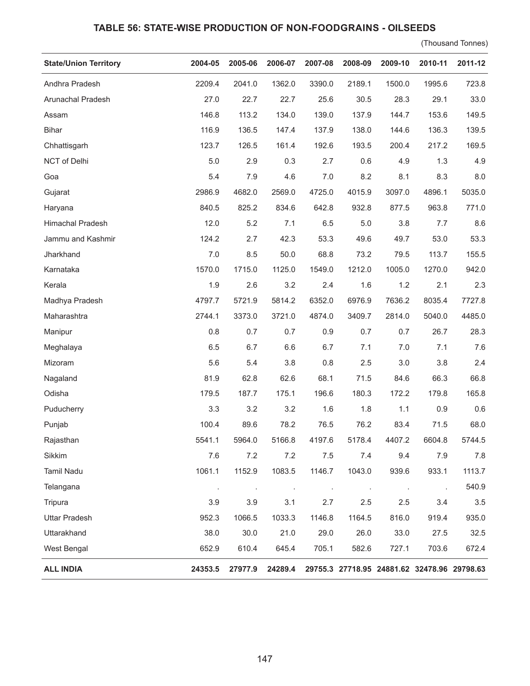## **TABLE 56: STATE-WISE PRODUCTION OF NON-FOODGRAINS - OILSEEDS**

(Thousand Tonnes)

| <b>State/Union Territory</b> | 2004-05 | 2005-06        | 2006-07 | 2007-08 | 2008-09                                     | 2009-10 | 2010-11 | 2011-12 |
|------------------------------|---------|----------------|---------|---------|---------------------------------------------|---------|---------|---------|
| Andhra Pradesh               | 2209.4  | 2041.0         | 1362.0  | 3390.0  | 2189.1                                      | 1500.0  | 1995.6  | 723.8   |
| Arunachal Pradesh            | 27.0    | 22.7           | 22.7    | 25.6    | 30.5                                        | 28.3    | 29.1    | 33.0    |
| Assam                        | 146.8   | 113.2          | 134.0   | 139.0   | 137.9                                       | 144.7   | 153.6   | 149.5   |
| <b>Bihar</b>                 | 116.9   | 136.5          | 147.4   | 137.9   | 138.0                                       | 144.6   | 136.3   | 139.5   |
| Chhattisgarh                 | 123.7   | 126.5          | 161.4   | 192.6   | 193.5                                       | 200.4   | 217.2   | 169.5   |
| NCT of Delhi                 | 5.0     | 2.9            | 0.3     | 2.7     | 0.6                                         | 4.9     | 1.3     | 4.9     |
| Goa                          | 5.4     | 7.9            | 4.6     | 7.0     | 8.2                                         | 8.1     | 8.3     | 8.0     |
| Gujarat                      | 2986.9  | 4682.0         | 2569.0  | 4725.0  | 4015.9                                      | 3097.0  | 4896.1  | 5035.0  |
| Haryana                      | 840.5   | 825.2          | 834.6   | 642.8   | 932.8                                       | 877.5   | 963.8   | 771.0   |
| Himachal Pradesh             | 12.0    | 5.2            | 7.1     | 6.5     | 5.0                                         | 3.8     | 7.7     | 8.6     |
| Jammu and Kashmir            | 124.2   | 2.7            | 42.3    | 53.3    | 49.6                                        | 49.7    | 53.0    | 53.3    |
| Jharkhand                    | 7.0     | 8.5            | 50.0    | 68.8    | 73.2                                        | 79.5    | 113.7   | 155.5   |
| Karnataka                    | 1570.0  | 1715.0         | 1125.0  | 1549.0  | 1212.0                                      | 1005.0  | 1270.0  | 942.0   |
| Kerala                       | 1.9     | 2.6            | 3.2     | 2.4     | 1.6                                         | 1.2     | 2.1     | 2.3     |
| Madhya Pradesh               | 4797.7  | 5721.9         | 5814.2  | 6352.0  | 6976.9                                      | 7636.2  | 8035.4  | 7727.8  |
| Maharashtra                  | 2744.1  | 3373.0         | 3721.0  | 4874.0  | 3409.7                                      | 2814.0  | 5040.0  | 4485.0  |
| Manipur                      | 0.8     | 0.7            | 0.7     | 0.9     | 0.7                                         | 0.7     | 26.7    | 28.3    |
| Meghalaya                    | 6.5     | 6.7            | 6.6     | 6.7     | 7.1                                         | 7.0     | 7.1     | 7.6     |
| Mizoram                      | 5.6     | 5.4            | 3.8     | 0.8     | 2.5                                         | 3.0     | 3.8     | 2.4     |
| Nagaland                     | 81.9    | 62.8           | 62.6    | 68.1    | 71.5                                        | 84.6    | 66.3    | 66.8    |
| Odisha                       | 179.5   | 187.7          | 175.1   | 196.6   | 180.3                                       | 172.2   | 179.8   | 165.8   |
| Puducherry                   | 3.3     | 3.2            | 3.2     | 1.6     | 1.8                                         | 1.1     | 0.9     | 0.6     |
| Punjab                       | 100.4   | 89.6           | 78.2    | 76.5    | 76.2                                        | 83.4    | 71.5    | 68.0    |
| Rajasthan                    | 5541.1  | 5964.0         | 5166.8  | 4197.6  | 5178.4                                      | 4407.2  | 6604.8  | 5744.5  |
| Sikkim                       | 7.6     | 7.2            | 7.2     | 7.5     | 7.4                                         | 9.4     | 7.9     | 7.8     |
| <b>Tamil Nadu</b>            | 1061.1  | 1152.9         | 1083.5  | 1146.7  | 1043.0                                      | 939.6   | 933.1   | 1113.7  |
| Telangana                    | $\cdot$ | $\blacksquare$ | $\cdot$ | $\cdot$ |                                             | $\cdot$ | $\cdot$ | 540.9   |
| Tripura                      | 3.9     | 3.9            | 3.1     | 2.7     | 2.5                                         | 2.5     | 3.4     | 3.5     |
| <b>Uttar Pradesh</b>         | 952.3   | 1066.5         | 1033.3  | 1146.8  | 1164.5                                      | 816.0   | 919.4   | 935.0   |
| Uttarakhand                  | 38.0    | 30.0           | 21.0    | 29.0    | 26.0                                        | 33.0    | 27.5    | 32.5    |
| West Bengal                  | 652.9   | 610.4          | 645.4   | 705.1   | 582.6                                       | 727.1   | 703.6   | 672.4   |
| <b>ALL INDIA</b>             | 24353.5 | 27977.9        | 24289.4 |         | 29755.3 27718.95 24881.62 32478.96 29798.63 |         |         |         |